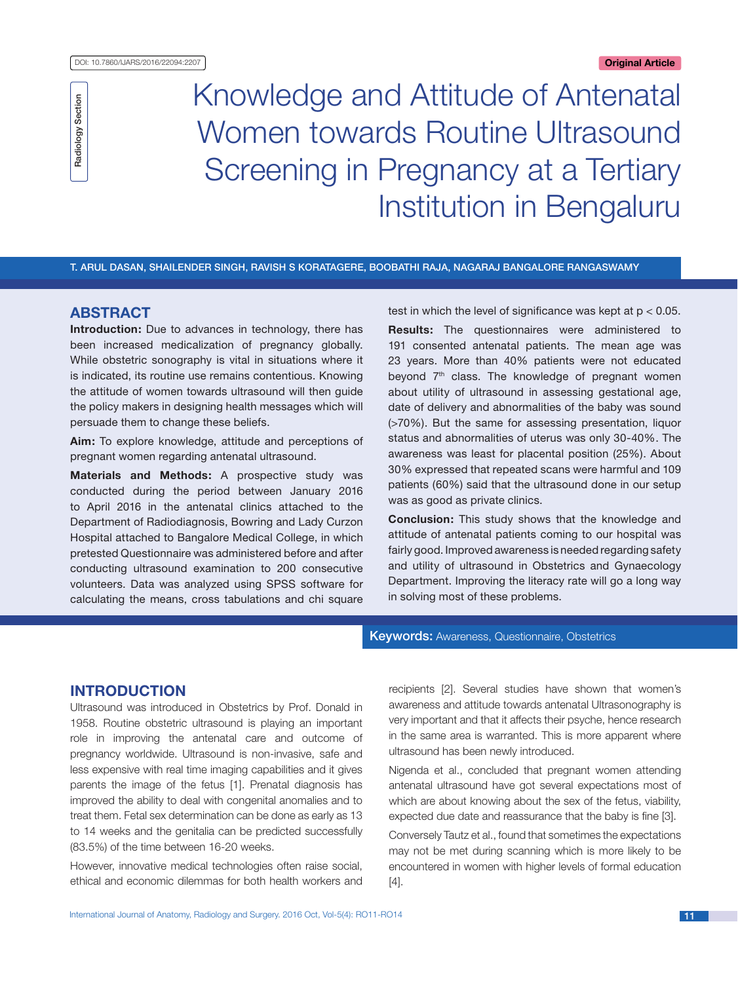

# Knowledge and Attitude of Antenatal Women towards Routine Ultrasound Screening in Pregnancy at a Tertiary Institution in Bengaluru

T. ARUL DASAN, SHAILENDER SINGH, RAVISH S KORATAGERE, BOOBATHI RAJA, NAGARAJ BANGALORE RANGASWAMY

## **ABSTRACT**

**Introduction:** Due to advances in technology, there has been increased medicalization of pregnancy globally. While obstetric sonography is vital in situations where it is indicated, its routine use remains contentious. Knowing the attitude of women towards ultrasound will then guide the policy makers in designing health messages which will persuade them to change these beliefs.

**Aim:** To explore knowledge, attitude and perceptions of pregnant women regarding antenatal ultrasound.

**Materials and Methods:** A prospective study was conducted during the period between January 2016 to April 2016 in the antenatal clinics attached to the Department of Radiodiagnosis, Bowring and Lady Curzon Hospital attached to Bangalore Medical College, in which pretested Questionnaire was administered before and after conducting ultrasound examination to 200 consecutive volunteers. Data was analyzed using SPSS software for calculating the means, cross tabulations and chi square test in which the level of significance was kept at  $p < 0.05$ .

**Results:** The questionnaires were administered to 191 consented antenatal patients. The mean age was 23 years. More than 40% patients were not educated beyond 7<sup>th</sup> class. The knowledge of pregnant women about utility of ultrasound in assessing gestational age, date of delivery and abnormalities of the baby was sound (>70%). But the same for assessing presentation, liquor status and abnormalities of uterus was only 30-40%. The awareness was least for placental position (25%). About 30% expressed that repeated scans were harmful and 109 patients (60%) said that the ultrasound done in our setup was as good as private clinics.

**Conclusion:** This study shows that the knowledge and attitude of antenatal patients coming to our hospital was fairly good. Improved awareness is needed regarding safety and utility of ultrasound in Obstetrics and Gynaecology Department. Improving the literacy rate will go a long way in solving most of these problems.

**Keywords: Awareness, Questionnaire, Obstetrics** 

## **Introduction**

Ultrasound was introduced in Obstetrics by Prof. Donald in 1958. Routine obstetric ultrasound is playing an important role in improving the antenatal care and outcome of pregnancy worldwide. Ultrasound is non-invasive, safe and less expensive with real time imaging capabilities and it gives parents the image of the fetus [1]. Prenatal diagnosis has improved the ability to deal with congenital anomalies and to treat them. Fetal sex determination can be done as early as 13 to 14 weeks and the genitalia can be predicted successfully (83.5%) of the time between 16-20 weeks.

However, innovative medical technologies often raise social, ethical and economic dilemmas for both health workers and recipients [2]. Several studies have shown that women's awareness and attitude towards antenatal Ultrasonography is very important and that it affects their psyche, hence research in the same area is warranted. This is more apparent where ultrasound has been newly introduced.

Nigenda et al., concluded that pregnant women attending antenatal ultrasound have got several expectations most of which are about knowing about the sex of the fetus, viability, expected due date and reassurance that the baby is fine [3].

Conversely Tautz et al., found that sometimes the expectations may not be met during scanning which is more likely to be encountered in women with higher levels of formal education [4].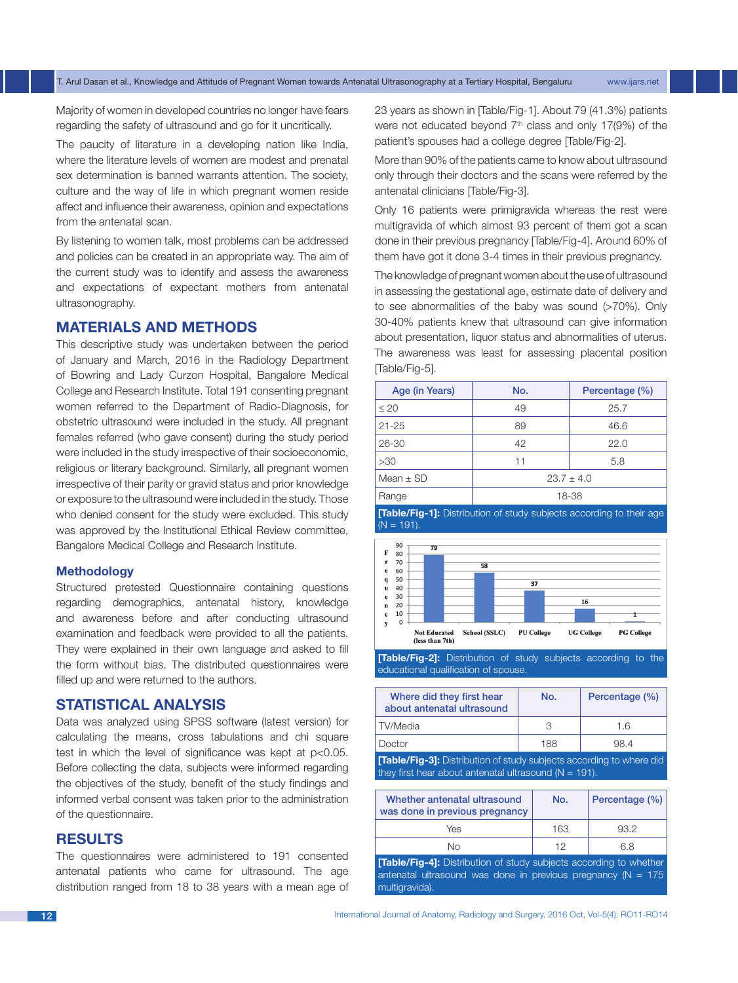Majority of women in developed countries no longer have fears regarding the safety of ultrasound and go for it uncritically.

The paucity of literature in a developing nation like India, where the literature levels of women are modest and prenatal sex determination is banned warrants attention. The society, culture and the way of life in which pregnant women reside affect and influence their awareness, opinion and expectations from the antenatal scan.

By listening to women talk, most problems can be addressed and policies can be created in an appropriate way. The aim of the current study was to identify and assess the awareness and expectations of expectant mothers from antenatal ultrasonography.

## **MATERIALS AND METHODS**

This descriptive study was undertaken between the period of January and March, 2016 in the Radiology Department of Bowring and Lady Curzon Hospital, Bangalore Medical College and Research Institute. Total 191 consenting pregnant women referred to the Department of Radio-Diagnosis, for obstetric ultrasound were included in the study. All pregnant females referred (who gave consent) during the study period were included in the study irrespective of their socioeconomic, religious or literary background. Similarly, all pregnant women irrespective of their parity or gravid status and prior knowledge or exposure to the ultrasound were included in the study. Those who denied consent for the study were excluded. This study was approved by the Institutional Ethical Review committee, Bangalore Medical College and Research Institute.

#### **Methodology**

Structured pretested Questionnaire containing questions regarding demographics, antenatal history, knowledge and awareness before and after conducting ultrasound examination and feedback were provided to all the patients. They were explained in their own language and asked to fill the form without bias. The distributed questionnaires were filled up and were returned to the authors.

## **Statistical Analysis**

Data was analyzed using SPSS software (latest version) for calculating the means, cross tabulations and chi square test in which the level of significance was kept at  $p<0.05$ . Before collecting the data, subjects were informed regarding the objectives of the study, benefit of the study findings and informed verbal consent was taken prior to the administration of the questionnaire.

#### **RESULTS**

The questionnaires were administered to 191 consented antenatal patients who came for ultrasound. The age distribution ranged from 18 to 38 years with a mean age of 23 years as shown in [Table/Fig-1]. About 79 (41.3%) patients were not educated beyond  $7<sup>th</sup>$  class and only 17(9%) of the patient's spouses had a college degree [Table/Fig-2].

More than 90% of the patients came to know about ultrasound only through their doctors and the scans were referred by the antenatal clinicians [Table/Fig-3].

Only 16 patients were primigravida whereas the rest were multigravida of which almost 93 percent of them got a scan done in their previous pregnancy [Table/Fig-4]. Around 60% of them have got it done 3-4 times in their previous pregnancy.

The knowledge of pregnant women about the use of ultrasound in assessing the gestational age, estimate date of delivery and to see abnormalities of the baby was sound (>70%). Only 30-40% patients knew that ultrasound can give information about presentation, liquor status and abnormalities of uterus. The awareness was least for assessing placental position [Table/Fig-5].

| Age (in Years) | No.            | Percentage (%) |
|----------------|----------------|----------------|
| $\leq 20$      | 49             | 25.7           |
| $21 - 25$      | 89             | 46.6           |
| 26-30          | 42             | 22.0           |
| >30            | 11             | 5.8            |
| Mean $\pm$ SD  | $23.7 \pm 4.0$ |                |
| Range          | 18-38          |                |

**[Table/Fig-1]:** Distribution of study subjects according to their age  $(N = 191)$ 



**[Table/Fig-2]:** Distribution of study subjects according to the educational qualification of spouse.

| Where did they first hear<br>about antenatal ultrasound                                                                                  | No. | Percentage (%) |  |  |
|------------------------------------------------------------------------------------------------------------------------------------------|-----|----------------|--|--|
| TV/Media                                                                                                                                 | 3   | 1.6            |  |  |
| Doctor                                                                                                                                   | 188 | 98.4           |  |  |
| <b>[Table/Fig-3]:</b> Distribution of study subjects according to where did<br>they first hear about antenatal ultrasound ( $N = 191$ ). |     |                |  |  |

| Whether antenatal ultrasound<br>was done in previous pregnancy                                                                                                | No. | Percentage (%) |  |
|---------------------------------------------------------------------------------------------------------------------------------------------------------------|-----|----------------|--|
| Yes                                                                                                                                                           | 163 | 93.2           |  |
| Nο                                                                                                                                                            | 12  | 6.8            |  |
| <b>Table/Fig-41:</b> Distribution of study subjects according to whether<br>antenatal ultrasound was done in previous pregnancy ( $N = 175$<br>multigravida). |     |                |  |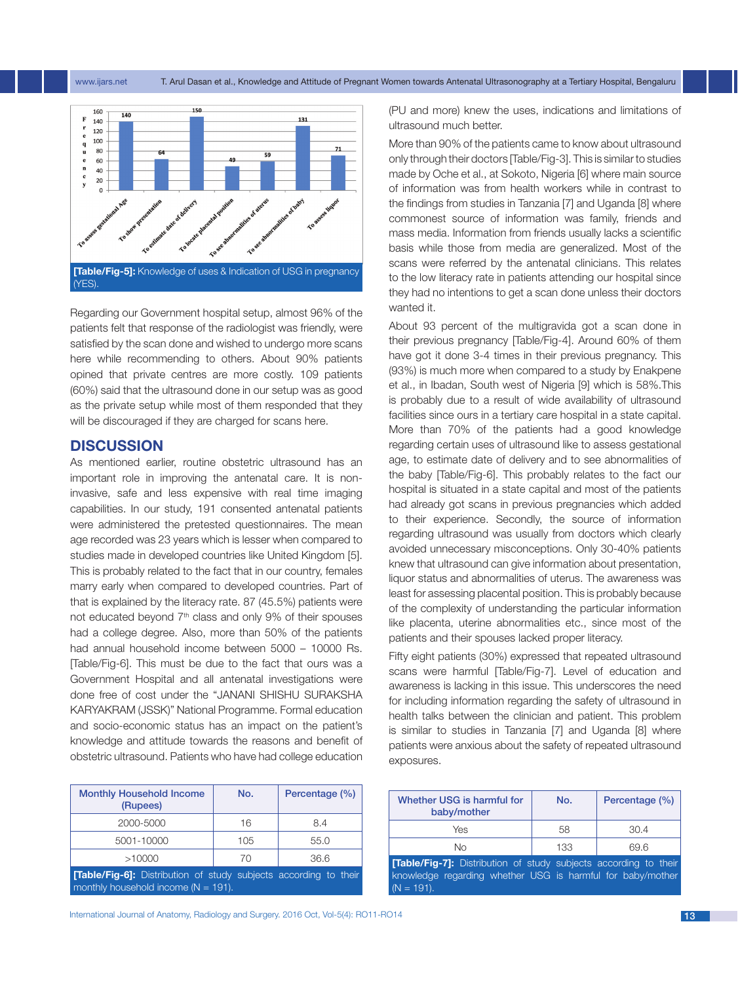

Regarding our Government hospital setup, almost 96% of the patients felt that response of the radiologist was friendly, were satisfied by the scan done and wished to undergo more scans here while recommending to others. About 90% patients opined that private centres are more costly. 109 patients (60%) said that the ultrasound done in our setup was as good as the private setup while most of them responded that they will be discouraged if they are charged for scans here.

#### **DISCUSSION**

As mentioned earlier, routine obstetric ultrasound has an important role in improving the antenatal care. It is noninvasive, safe and less expensive with real time imaging capabilities. In our study, 191 consented antenatal patients were administered the pretested questionnaires. The mean age recorded was 23 years which is lesser when compared to studies made in developed countries like United Kingdom [5]. This is probably related to the fact that in our country, females marry early when compared to developed countries. Part of that is explained by the literacy rate. 87 (45.5%) patients were not educated beyond 7th class and only 9% of their spouses had a college degree. Also, more than 50% of the patients had annual household income between 5000 – 10000 Rs. [Table/Fig-6]. This must be due to the fact that ours was a Government Hospital and all antenatal investigations were done free of cost under the "JANANI SHISHU SURAKSHA KARYAKRAM (JSSK)" National Programme. Formal education and socio-economic status has an impact on the patient's knowledge and attitude towards the reasons and benefit of obstetric ultrasound. Patients who have had college education

| <b>Monthly Household Income</b><br>(Rupees)                             | No. | Percentage (%) |
|-------------------------------------------------------------------------|-----|----------------|
| 2000-5000                                                               | 16  | 8.4            |
| 5001-10000                                                              | 105 | 55.0           |
| >10000                                                                  | 70  | 36.6           |
| <b>[Table/Fig-6]:</b> Distribution of study subjects according to their |     |                |

monthly household income ( $N = 191$ ).

International Journal of Anatomy, Radiology and Surgery. 2016 Oct, Vol-5(4): RO11-RO14 13

(PU and more) knew the uses, indications and limitations of ultrasound much better.

More than 90% of the patients came to know about ultrasound only through their doctors [Table/Fig-3]. This is similar to studies made by Oche et al., at Sokoto, Nigeria [6] where main source of information was from health workers while in contrast to the findings from studies in Tanzania [7] and Uganda [8] where commonest source of information was family, friends and mass media. Information from friends usually lacks a scientific basis while those from media are generalized. Most of the scans were referred by the antenatal clinicians. This relates to the low literacy rate in patients attending our hospital since they had no intentions to get a scan done unless their doctors wanted it.

About 93 percent of the multigravida got a scan done in their previous pregnancy [Table/Fig-4]. Around 60% of them have got it done 3-4 times in their previous pregnancy. This (93%) is much more when compared to a study by Enakpene et al., in Ibadan, South west of Nigeria [9] which is 58%.This is probably due to a result of wide availability of ultrasound facilities since ours in a tertiary care hospital in a state capital. More than 70% of the patients had a good knowledge regarding certain uses of ultrasound like to assess gestational age, to estimate date of delivery and to see abnormalities of the baby [Table/Fig-6]. This probably relates to the fact our hospital is situated in a state capital and most of the patients had already got scans in previous pregnancies which added to their experience. Secondly, the source of information regarding ultrasound was usually from doctors which clearly avoided unnecessary misconceptions. Only 30-40% patients knew that ultrasound can give information about presentation, liquor status and abnormalities of uterus. The awareness was least for assessing placental position. This is probably because of the complexity of understanding the particular information like placenta, uterine abnormalities etc., since most of the patients and their spouses lacked proper literacy.

Fifty eight patients (30%) expressed that repeated ultrasound scans were harmful [Table/Fig-7]. Level of education and awareness is lacking in this issue. This underscores the need for including information regarding the safety of ultrasound in health talks between the clinician and patient. This problem is similar to studies in Tanzania [7] and Uganda [8] where patients were anxious about the safety of repeated ultrasound exposures.

| Whether USG is harmful for<br>baby/mother                                                                                                                                                               | No. | Percentage (%) |
|---------------------------------------------------------------------------------------------------------------------------------------------------------------------------------------------------------|-----|----------------|
| Yes                                                                                                                                                                                                     | 58  | 30.4           |
| Nο                                                                                                                                                                                                      | 133 | 69.6           |
| <b>Table/Fig-71:</b> Distribution of study subjects according to their<br>The contract of the contract of $\mathbf{A}$ and $\mathbf{A}$ is the contract of the contract of the contract of $\mathbf{A}$ |     |                |

knowledge regarding whether USG is harmful for baby/mother  $(N = 191)$